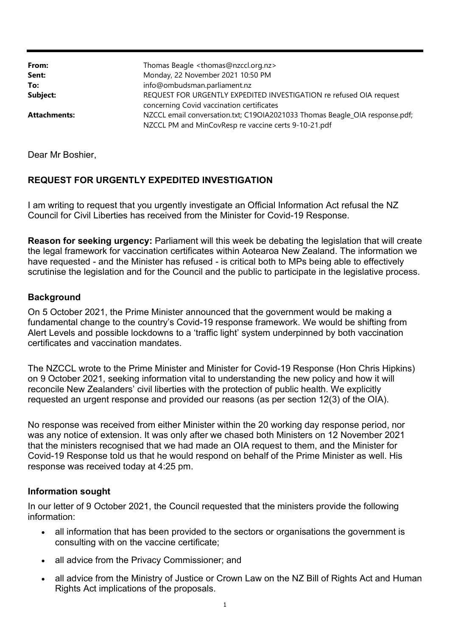| From:               | Thomas Beagle <thomas@nzccl.org.nz></thomas@nzccl.org.nz>                   |
|---------------------|-----------------------------------------------------------------------------|
| Sent:               | Monday, 22 November 2021 10:50 PM                                           |
| To:                 | info@ombudsman.parliament.nz                                                |
| Subject:            | REQUEST FOR URGENTLY EXPEDITED INVESTIGATION re refused OIA request         |
|                     | concerning Covid vaccination certificates                                   |
| <b>Attachments:</b> | NZCCL email conversation.txt; C19OIA2021033 Thomas Beagle_OIA response.pdf; |
|                     | NZCCL PM and MinCovResp re vaccine certs 9-10-21.pdf                        |

Dear Mr Boshier,

## **REQUEST FOR URGENTLY EXPEDITED INVESTIGATION**

I am writing to request that you urgently investigate an Official Information Act refusal the NZ Council for Civil Liberties has received from the Minister for Covid-19 Response.

**Reason for seeking urgency:** Parliament will this week be debating the legislation that will create the legal framework for vaccination certificates within Aotearoa New Zealand. The information we have requested - and the Minister has refused - is critical both to MPs being able to effectively scrutinise the legislation and for the Council and the public to participate in the legislative process.

## **Background**

On 5 October 2021, the Prime Minister announced that the government would be making a fundamental change to the country's Covid-19 response framework. We would be shifting from Alert Levels and possible lockdowns to a 'traffic light' system underpinned by both vaccination certificates and vaccination mandates.

The NZCCL wrote to the Prime Minister and Minister for Covid-19 Response (Hon Chris Hipkins) on 9 October 2021, seeking information vital to understanding the new policy and how it will reconcile New Zealanders' civil liberties with the protection of public health. We explicitly requested an urgent response and provided our reasons (as per section 12(3) of the OIA).

No response was received from either Minister within the 20 working day response period, nor was any notice of extension. It was only after we chased both Ministers on 12 November 2021 that the ministers recognised that we had made an OIA request to them, and the Minister for Covid-19 Response told us that he would respond on behalf of the Prime Minister as well. His response was received today at 4:25 pm.

## **Information sought**

In our letter of 9 October 2021, the Council requested that the ministers provide the following information:

- all information that has been provided to the sectors or organisations the government is consulting with on the vaccine certificate;
- all advice from the Privacy Commissioner; and
- all advice from the Ministry of Justice or Crown Law on the NZ Bill of Rights Act and Human Rights Act implications of the proposals.